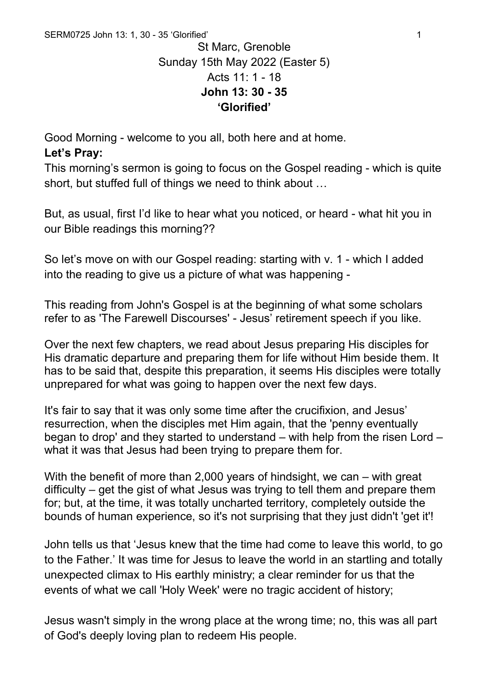## St Marc, Grenoble Sunday 15th May 2022 (Easter 5) Acts 11: 1 - 18 **John 13: 30 - 35 'Glorified'**

Good Morning - welcome to you all, both here and at home.

## **Let's Pray:**

This morning's sermon is going to focus on the Gospel reading - which is quite short, but stuffed full of things we need to think about …

But, as usual, first I'd like to hear what you noticed, or heard - what hit you in our Bible readings this morning??

So let's move on with our Gospel reading: starting with v. 1 - which I added into the reading to give us a picture of what was happening -

This reading from John's Gospel is at the beginning of what some scholars refer to as 'The Farewell Discourses' - Jesus' retirement speech if you like.

Over the next few chapters, we read about Jesus preparing His disciples for His dramatic departure and preparing them for life without Him beside them. It has to be said that, despite this preparation, it seems His disciples were totally unprepared for what was going to happen over the next few days.

It's fair to say that it was only some time after the crucifixion, and Jesus' resurrection, when the disciples met Him again, that the 'penny eventually began to drop' and they started to understand – with help from the risen Lord – what it was that Jesus had been trying to prepare them for.

With the benefit of more than 2,000 years of hindsight, we can – with great difficulty – get the gist of what Jesus was trying to tell them and prepare them for; but, at the time, it was totally uncharted territory, completely outside the bounds of human experience, so it's not surprising that they just didn't 'get it'!

John tells us that 'Jesus knew that the time had come to leave this world, to go to the Father.' It was time for Jesus to leave the world in an startling and totally unexpected climax to His earthly ministry; a clear reminder for us that the events of what we call 'Holy Week' were no tragic accident of history;

Jesus wasn't simply in the wrong place at the wrong time; no, this was all part of God's deeply loving plan to redeem His people.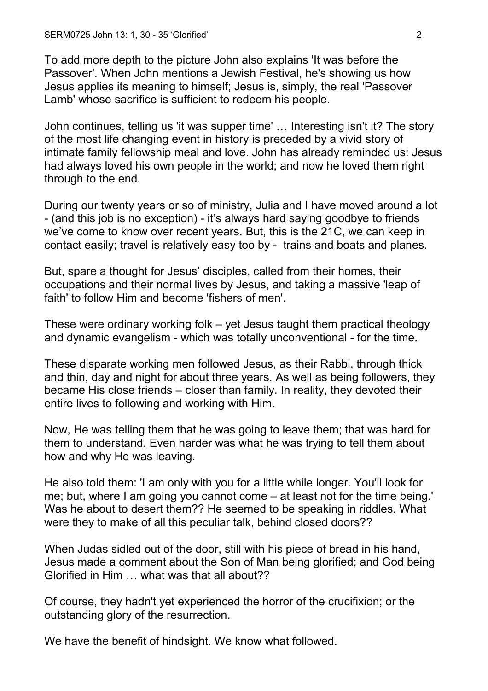To add more depth to the picture John also explains 'It was before the Passover'. When John mentions a Jewish Festival, he's showing us how Jesus applies its meaning to himself; Jesus is, simply, the real 'Passover Lamb' whose sacrifice is sufficient to redeem his people.

John continues, telling us 'it was supper time' … Interesting isn't it? The story of the most life changing event in history is preceded by a vivid story of intimate family fellowship meal and love. John has already reminded us: Jesus had always loved his own people in the world; and now he loved them right through to the end.

During our twenty years or so of ministry, Julia and I have moved around a lot - (and this job is no exception) - it's always hard saying goodbye to friends we've come to know over recent years. But, this is the 21C, we can keep in contact easily; travel is relatively easy too by - trains and boats and planes.

But, spare a thought for Jesus' disciples, called from their homes, their occupations and their normal lives by Jesus, and taking a massive 'leap of faith' to follow Him and become 'fishers of men'.

These were ordinary working folk – yet Jesus taught them practical theology and dynamic evangelism - which was totally unconventional - for the time.

These disparate working men followed Jesus, as their Rabbi, through thick and thin, day and night for about three years. As well as being followers, they became His close friends – closer than family. In reality, they devoted their entire lives to following and working with Him.

Now, He was telling them that he was going to leave them; that was hard for them to understand. Even harder was what he was trying to tell them about how and why He was leaving.

He also told them: 'I am only with you for a little while longer. You'll look for me; but, where I am going you cannot come – at least not for the time being.' Was he about to desert them?? He seemed to be speaking in riddles. What were they to make of all this peculiar talk, behind closed doors??

When Judas sidled out of the door, still with his piece of bread in his hand, Jesus made a comment about the Son of Man being glorified; and God being Glorified in Him … what was that all about??

Of course, they hadn't yet experienced the horror of the crucifixion; or the outstanding glory of the resurrection.

We have the benefit of hindsight. We know what followed.